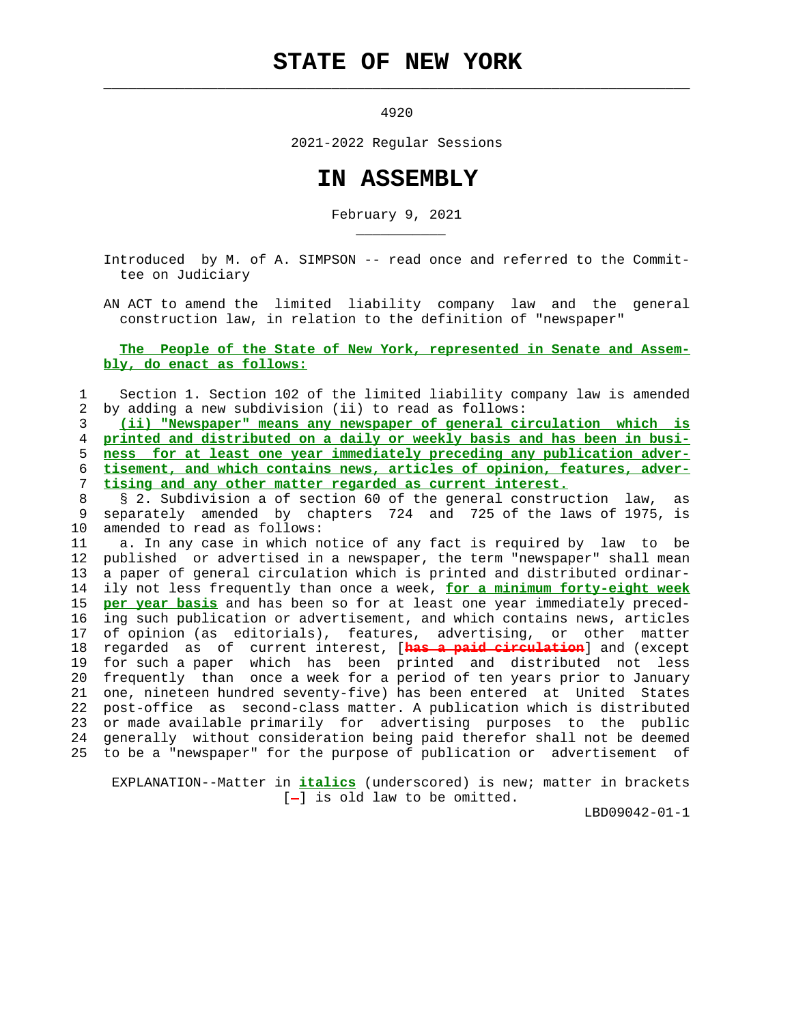## **STATE OF NEW YORK**

 $\mathcal{L}_\text{max} = \frac{1}{2} \sum_{i=1}^{n} \frac{1}{2} \sum_{i=1}^{n} \frac{1}{2} \sum_{i=1}^{n} \frac{1}{2} \sum_{i=1}^{n} \frac{1}{2} \sum_{i=1}^{n} \frac{1}{2} \sum_{i=1}^{n} \frac{1}{2} \sum_{i=1}^{n} \frac{1}{2} \sum_{i=1}^{n} \frac{1}{2} \sum_{i=1}^{n} \frac{1}{2} \sum_{i=1}^{n} \frac{1}{2} \sum_{i=1}^{n} \frac{1}{2} \sum_{i=1}^{n} \frac{1$ 

\_\_\_\_\_\_\_\_\_\_\_

4920

2021-2022 Regular Sessions

## **IN ASSEMBLY**

February 9, 2021

 Introduced by M. of A. SIMPSON -- read once and referred to the Commit tee on Judiciary

 AN ACT to amend the limited liability company law and the general construction law, in relation to the definition of "newspaper"

## **The People of the State of New York, represented in Senate and Assem bly, do enact as follows:**

 1 Section 1. Section 102 of the limited liability company law is amended 2 by adding a new subdivision (ii) to read as follows:

**(ii) "Newspaper" means any newspaper of general circulation which is printed and distributed on a daily or weekly basis and has been in busi- ness for at least one year immediately preceding any publication adver- tisement, and which contains news, articles of opinion, features, adver- tising and any other matter regarded as current interest.**

 8 § 2. Subdivision a of section 60 of the general construction law, as 9 separately amended by chapters 724 and 725 of the laws of 1975, is 10 amended to read as follows:

 11 a. In any case in which notice of any fact is required by law to be 12 published or advertised in a newspaper, the term "newspaper" shall mean 13 a paper of general circulation which is printed and distributed ordinar- 14 ily not less frequently than once a week, **for a minimum forty-eight week** 15 **per year basis** and has been so for at least one year immediately preced- 16 ing such publication or advertisement, and which contains news, articles 17 of opinion (as editorials), features, advertising, or other matter 18 regarded as of current interest, [**has a paid circulation**] and (except 19 for such a paper which has been printed and distributed not less 20 frequently than once a week for a period of ten years prior to January 21 one, nineteen hundred seventy-five) has been entered at United States 22 post-office as second-class matter. A publication which is distributed 23 or made available primarily for advertising purposes to the public 24 generally without consideration being paid therefor shall not be deemed 25 to be a "newspaper" for the purpose of publication or advertisement of

 EXPLANATION--Matter in **italics** (underscored) is new; matter in brackets [-] is old law to be omitted.

LBD09042-01-1